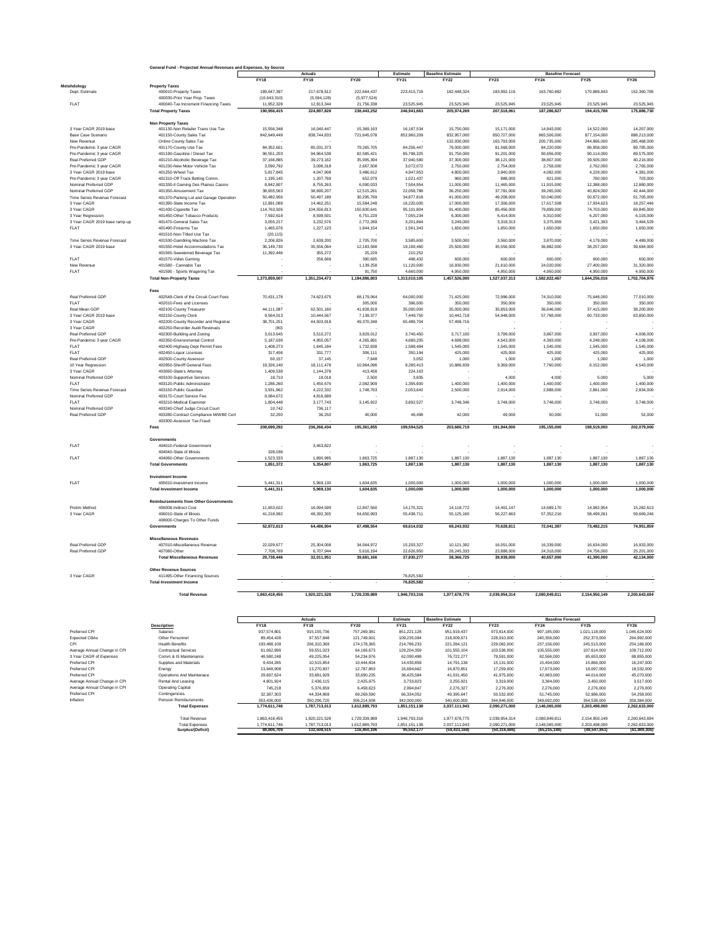|                                                      | General Fund - Projected Annual Revenues and Expenses, by Source |                              |                              |                              |                              |                                         |                              |                                         |                              |                              |  |
|------------------------------------------------------|------------------------------------------------------------------|------------------------------|------------------------------|------------------------------|------------------------------|-----------------------------------------|------------------------------|-----------------------------------------|------------------------------|------------------------------|--|
|                                                      |                                                                  | <b>FY18</b>                  | Actuals<br><b>FY19</b>       | <b>FY20</b>                  | Estimate<br><b>FY21</b>      | <b>Baseline Estimate</b><br><b>FY22</b> | FY23                         | <b>Baseline Forecast</b><br><b>FY24</b> | <b>FY25</b>                  | <b>FY26</b>                  |  |
| Metehdology                                          | <b>Property Taxes</b>                                            |                              |                              |                              |                              |                                         |                              |                                         |                              |                              |  |
| Dept. Estimate                                       | 400010-Property Taxes                                            | 189,647,397                  | 217,678,612                  | 222.664.437                  | 223,415,718                  | 182,448,324                             | 183,992,116                  | 163,760,882                             | 170.889.843                  | 152,360,785                  |  |
|                                                      | 400030-Prior Year Prop. Taxes                                    | (10.643.310)                 | (5.594.128)                  | (5.977.524)                  |                              |                                         |                              |                                         |                              |                              |  |
| FLAT                                                 | 400040-Tax Increment Financing Taxes                             | 11,952,328                   | 12,813,344                   | 21,756,338                   | 23,525,945                   | 23,525,945                              | 23,525,945                   | 23,525,945                              | 23,525,945                   | 23,525,945                   |  |
|                                                      | <b>Total Property Taxes</b>                                      | 190.956.415                  | 224.897.828                  | 238.443.252                  | 246.941.663                  | 205.974.269                             | 207,518,061                  | 187.286.827                             | 194,415,788                  | 175,886,730                  |  |
|                                                      | <b>Non Property Taxes</b>                                        |                              |                              |                              |                              |                                         |                              |                                         |                              |                              |  |
| 3 Year CAGR 2019 base                                | 401130-Non Retailer Trans Use Tax                                | 15,556,348                   | 16,040,447                   | 15,369,163                   | 16, 187, 534                 | 15,750,000                              | 15,171,000                   | 14,843,000                              | 14,522,000                   | 14,207,000                   |  |
| Base Case Scenario                                   | 401150-County Sales Tax                                          | 842,649,449                  | 838,744,833                  | 721,645,078                  | 852,960,209                  | 832 957 000                             | 850.727.000                  | 865,506,000                             | 877.154.000                  | 888.213.000                  |  |
| New Revenue                                          | Online County Sales Tax                                          |                              |                              |                              |                              | 132,930,000                             | 163,793,000                  | 200,735,000                             | 244,866,000                  | 285,468,000                  |  |
| Pre-Pandemic 3 year CAGR<br>Pre-Pandemic 3 year CAGR | 401170-County Use Tax<br>401190-Gasoline / Diesel Tax            | 84.352.601<br>96,551,203     | 85.031.373<br>94,964,538     | 79.265.705<br>82,585,421     | 84.256.447<br>85,798,325     | 79,000,000<br>91,750,000                | 81,568,000<br>91,201,000     | 84,220,000<br>90,656,000                | 86,958,000<br>90,114,000     | 89,785,000<br>89,575,000     |  |
| Real Preferred GDP                                   | 401210-Alcoholic Beverage Tax                                    | 37.166.885                   | 39.273.162                   | 35.995.394                   | 37,940,580                   | 37,300,000                              | 38.121.000                   | 38,807,000                              | 39,505,000                   | 40,216,000                   |  |
| Pre-Pandemic 3 year CAGR                             | 401230-New Motor Vehicle Tax                                     | 3,090,792                    | 3,096,318                    | 2,667,508                    | 3,072,072                    | 2,750,000                               | 2,754,000                    | 2,758,000                               | 2,762,000                    | 2,765,000                    |  |
| 3 Year CAGR 2019 base                                | 401250-Wheel Tax                                                 | 5,817,845                    | 4,047,908                    | 3,486,612                    | 4,947,953                    | 4,800,000                               | 3,940,000                    | 4,082,000                               | 4,229,000                    | 4,381,000                    |  |
| Pre-Pandemic 3 year CAGR                             | 401310-Off Track Betting Comm.                                   | 1,195,145                    | 1,207,769                    | 652,079                      | 1,021,437                    | 960,000                                 | 888,000                      | 821,000                                 | 760,000                      | 703,000                      |  |
| Nominal Preferred GDP                                | 401330-II Gaming Des Plaines Casino                              | 8,842,807                    | 8,755,263                    | 6,090,033                    | 7,504,954                    | 11,000,000                              | 11,465,000                   | 11,915,000                              | 12,388,000                   | 12,880,000                   |  |
| Nominal Preferred GDF                                | 401350-Amusement Tax                                             | 38,655,563                   | 38,690,207                   | 12,515,261                   | 22,058,788                   | 36,250,000                              | 37,781,000                   | 39,265,000                              | 40,824,000                   | 42,444,000                   |  |
| Time Series Revenue Forecast<br>3 Year CAGR          | 401370-Parking Lot and Garage Operation                          | 50,482,956                   | 50,497,189                   | 30,295,769                   | 34,877,818                   | 41,000,000                              | 49,208,000                   | 50,040,000                              | 50,872,000                   | 51,705,000                   |  |
| 3 Year CAGR                                          | 401390-State Income Tax<br>401430-Cigarette Tax                  | 12,891,089<br>114,763,926    | 14,462,251<br>104,556,813    | 15,584,248<br>150,830,641    | 16,220,000<br>95,101,804     | 17,000,000<br>91,400,000                | 17,306,000<br>85,456,000     | 17,617,508<br>79,899,000                | 17,934,623<br>74,703,000     | 18,257,446<br>69,845,000     |  |
| 3 Year Regression                                    | 401450-Other Tobacco Products                                    | 7,592,618                    | 8,599,501                    | 6,751,229                    | 7,055,234                    | 6,300,000                               | 6,414,000                    | 6,310,000                               | 6,207,000                    | 6,103,000                    |  |
| 3 Year CAGR 2019 base ramp up                        | 401470-General Sales Tax                                         | 3,055,217                    | 3,232,576                    | 2,772,289                    | 3,201,864                    | 3,249,000                               | 3,318,313                    | 3,375,959                               | 3,421,393                    | 3,464,529                    |  |
| <b>FLAT</b>                                          | 401490-Firearms Tax                                              | 1,465,676                    | 1,227,123                    | 1,844,154                    | 1,561,343                    | 1,650,000                               | 1,650,000                    | 1,650,000                               | 1,650,000                    | 1,650,000                    |  |
|                                                      | 401510-Non-Titled Use Tax                                        | (20, 115)                    |                              |                              |                              |                                         |                              |                                         |                              |                              |  |
| Time Series Revenue Forecast                         | 401530-Gambling Machine Tax                                      | 2,206,826                    | 2,639,200                    | 2,705,700                    | 3,585,600                    | 3,500,000                               | 3,560,000                    | 3,870,000                               | 4,179,000                    | 4,489,000                    |  |
| 3 Year CAGR 2019 base                                | 401550-Hotel Accommodations Tax                                  | 36,149,730                   | 35,556,064                   | 12,183,588                   | 19,169,460                   | 25,500,000                              | 35,556,000                   | 36,882,000                              | 38,257,000                   | 39,684,000                   |  |
|                                                      | 401565-Sweetened Beverage Tax                                    | 11.392.446                   | 355.272                      | 25.229                       | 210.252                      |                                         |                              |                                         |                              |                              |  |
| FLAT<br>New Revenue                                  | 401570-Video Gaming                                              |                              | 256,668                      | 390,695<br>1.139.258         | 498,432<br>11.120.000        | 600,000<br>16,930,000                   | 600,000<br>21.610.000        | 600,000<br>24.020.000                   | 600,000<br>27,400,000        | 600,000<br>31,320,000        |  |
| FLAT                                                 | 401580 - Cannabis Tax<br>401590 - Sports Wagering Tax            |                              |                              | 91,750                       | 4,660,000                    | 4,950,000                               | 4,950,000                    | 4,950,000                               | 4,950,000                    | 4,950,000                    |  |
|                                                      | <b>Total Non-Property Taxes</b>                                  | 1.373.859.007                | 1.351.234.473                | 1.184.886.803                | 1,313,010,105                | 1,457,526,000                           | 1,527,037,313                | 1,582,822,467                           | 1,644,256,016                | 1,702,704,976                |  |
|                                                      |                                                                  |                              |                              |                              |                              |                                         |                              |                                         |                              |                              |  |
|                                                      | Fees                                                             |                              |                              |                              |                              |                                         |                              |                                         |                              |                              |  |
| Real Preferred GDF                                   | 402548-Clerk of the Circuit Court Fees                           | 70.431.178                   | 74,623,675                   | 68,179,064                   | 64,000,000                   | 71,425,000                              | 72,996,000                   | 74,310,000                              | 75,648,000                   | 77,010,000                   |  |
| <b>FLAT</b>                                          | 402010-Fees and Licenses<br>402100-County Treasurer              |                              |                              | 305,000                      | 396,000                      | 350,000                                 | 350,000                      | 350,000                                 | 350,000                      | 350,000                      |  |
| Real Mean GDP<br>3 Year CAGR 2019 hase               | 402150-County Clerk                                              | 44,111,087<br>9,564,013      | 62,501,160<br>10.444.567     | 41,828,919<br>7.139.377      | 35,000,000<br>7,449,750      | 35,000,000<br>10,442,718                | 35,853,000<br>54,948,000     | 36,646,000<br>57,768,000                | 37,415,000<br>60,733,000     | 38,200,000<br>63,850,000     |  |
| 3 Year CAGR                                          | 402200-County Recorder and Registrar                             | 38,701,251                   | 44,503,918                   | 49,370,348                   | 65,489,704                   | 57,499,716                              |                              |                                         |                              |                              |  |
| 3 Year CAGR                                          | 402250-Recorder Audit Revenues                                   | (80)                         |                              |                              |                              |                                         |                              |                                         |                              |                              |  |
| Real Preferred GDP                                   | 402300-Building and Zoning                                       | 3,013,645                    | 3,510,272                    | 3,829,012                    | 3,740,450                    | 3,717,100                               | 3,799,000                    | 3,867,000                               | 3,937,000                    | 4,008,000                    |  |
| Pre-Pandemic 3 year CAGR                             | 402350-Environmental Control                                     | 5,187,639                    | 4,955,057                    | 4,265,891                    | 4,680,205                    | 4,698,000                               | 4,543,000                    | 4,393,000                               | 4,248,000                    | 4,108,000                    |  |
| FLAT                                                 | 402400-Highway Dept Permit Fees                                  | 1,408,273                    | 1,645,184                    | 1,732,838                    | 1,588,494                    | 1,545,000                               | 1,545,000                    | 1,545,000                               | 1,545,000                    | 1,545,000                    |  |
| <b>FLAT</b>                                          | 402450-Liquor Licenses                                           | 317,406                      | 331,777                      | 306,111                      | 350,194                      | 425,000                                 | 425,000                      | 425,000                                 | 425,000                      | 425,000                      |  |
| Real Preferred GDP                                   | 402500-County Assessor                                           | 60,157                       | 37,145                       | 7,648                        | 3,052                        | 1,000                                   | 1,000                        | 1,000                                   | 1,000                        | 1,000                        |  |
| 10 Year Regression                                   | 402950-Sheriff General Fees                                      | 19,326,140                   | 18, 111, 478                 | 10,964,096                   | 9,280,413                    | 10,886,839                              | 9,369,000                    | 7,760,000                               | 6,152,000                    | 4,543,000                    |  |
| 3 Year CAGR                                          | 403060-State's Attorney                                          | 1,409,538                    | 1,144,378                    | 413,458                      | 224,163                      |                                         |                              |                                         |                              |                              |  |
| Nominal Preferred GDP<br>FLAT                        | 403100-Supportive Services                                       | 18,710                       | 18,018                       | 2,500                        | 3,835                        |                                         | 4,000                        | 4,000                                   | 5,000                        | 5,000                        |  |
| Time Series Revenue Forecast                         | 403120-Public Administrator<br>403150-Public Guardian            | 1,286,260<br>3,931,962       | 1,450,676<br>4,222,332       | 2,082,909                    | 1,395,600                    | 1,400,000<br>2,500,000                  | 1,400,000                    | 1,400,000                               | 1,400,000                    | 1,400,000                    |  |
| Nominal Preferred GDP                                | 403170-Court Service Fee                                         | 8.084.672                    | 4.816.689                    | 1,748,763                    | 2,053,642                    |                                         | 2,914,000                    | 2,888,000                               | 2,861,000                    | 2,834,000                    |  |
| FLAT                                                 | 403210-Medical Examiner                                          | 1,804,448                    | 3,177,743                    | 3,145,922                    | 3,892,527                    | 3,748,346                               | 3,748,000                    | 3,748,000                               | 3,748,000                    | 3,748,000                    |  |
| Nominal Preferred GDP                                | 403240-Chief Judge Circuit Court                                 | 10.742                       | 736.117                      |                              |                              |                                         |                              |                                         |                              |                              |  |
| Real Preferred GDF                                   | 403280-Contract Compliance M/WBE Cert                            | 32,250                       | 36,250                       | 40,000                       | 46,498                       | 42,000                                  | 49,000                       | 50,000                                  | 51,000                       | 52,000                       |  |
|                                                      | 403300-Assessor Tax Fraud                                        |                              |                              |                              |                              |                                         |                              |                                         |                              |                              |  |
|                                                      | Fees                                                             | 208,699,292                  | 236,266,434                  | 195,361,855                  | 199,594,525                  | 203,680,719                             | 191,944,000                  | 195,155,000                             | 198,519,000                  | 202,079,000                  |  |
|                                                      | Governments                                                      |                              |                              |                              |                              |                                         |                              |                                         |                              |                              |  |
| <b>FLAT</b>                                          | 404010-Federal Government                                        |                              | 3,463,822                    |                              |                              |                                         |                              |                                         |                              |                              |  |
|                                                      | 404040-State of Illinois                                         | 328,038                      |                              |                              |                              |                                         |                              |                                         |                              |                              |  |
| <b>FLAT</b>                                          | 404060-Other Governments                                         | 1.523.333                    | 1.890.985                    | 1.863.725                    | 1.887.130                    | 1.887.130                               | 1.887.130                    | 1.887.130                               | 1.887.130                    | 1.887.130                    |  |
|                                                      | <b>Total Governments</b>                                         | 1.851.372                    | 5,354,807                    | 1,863,725                    | 1,887,130                    | 1,887,130                               | 1,887,130                    | 1,887,130                               | 1,887,130                    | 1,887,130                    |  |
|                                                      | Investment Income                                                |                              |                              |                              |                              |                                         |                              |                                         |                              |                              |  |
| <b>FLAT</b>                                          | 405010-Investment Income                                         | 5,441,311                    | 5.969.130                    | 1,604,635                    | 1,000,000                    | 1,000,000                               | 1,000,000                    | 1,000,000                               | 1,000,000                    | 1,000,000                    |  |
|                                                      | <b>Total Investment Income</b>                                   | 5,441,311                    | 5,969,130                    | 1,604,635                    | 1,000,000                    | 1,000,000                               | 1,000,000                    | 1,000,000                               | 1,000,000                    | 1,000,000                    |  |
|                                                      |                                                                  |                              |                              |                              |                              |                                         |                              |                                         |                              |                              |  |
| Prelim Method                                        | <b>Reimbursements from Other Governments</b>                     |                              |                              |                              |                              |                                         |                              |                                         |                              |                              |  |
| 3 Year CAGR                                          | 406008-Indirect Cost<br>406010-State of Illinois                 | 11.653.622<br>41,218,992     | 16,094,599<br>48,392,305     | 12.847.560<br>54,650,993     | 14, 175, 321<br>55,438,711   | 14, 118, 772<br>55,125,160              | 14.401.147<br>56,227,663     | 14,689,170<br>57,352,216                | 14.982.954<br>58,499,261     | 15,282,613<br>59,669,246     |  |
|                                                      | 408000-Charges To Other Funds                                    |                              |                              |                              |                              |                                         |                              |                                         |                              |                              |  |
|                                                      | Governments                                                      | 52,872,613                   | 64,486,904                   | 67,498,554                   | 69.614.032                   | 69,243,932                              | 70,628,811                   | 72.041.387                              | 73,482,215                   | 74.951.859                   |  |
|                                                      |                                                                  |                              |                              |                              |                              |                                         |                              |                                         |                              |                              |  |
|                                                      | <b>Miscellaneous Revenues</b>                                    |                              |                              |                              |                              |                                         |                              |                                         |                              |                              |  |
| Real Preferred GDF                                   | 407010-Miscellaneous Revenue<br>407080-Other                     | 22,029,677<br>7.708.769      | 25,304,008<br>6,707,944      | 34,064,972<br>5.616.194      | 15,203,327<br>22.626.950     | 10,121,392<br>28.245.333                | 16,051,000<br>23.888.000     | 16,339,000<br>24.318.000                | 16,634,000<br>24,756,000     | 16,933,000<br>25.201.000     |  |
| Real Preferred GDP                                   | <b>Total Miscellaneous Revenues</b>                              | 29,738,446                   | 32,011,951                   | 39,681,166                   | 37,830,277                   | 38,366,725                              | 39,939,000                   | 40,657,000                              | 41,390,000                   | 42,134,000                   |  |
|                                                      |                                                                  |                              |                              |                              |                              |                                         |                              |                                         |                              |                              |  |
|                                                      | <b>Other Revenue Sources</b>                                     |                              |                              |                              |                              |                                         |                              |                                         |                              |                              |  |
| 3 Year CAGR                                          | 411495-Other Financing Sources                                   |                              |                              |                              | 76.825.582                   |                                         |                              |                                         |                              |                              |  |
|                                                      | <b>Total Investment Income</b>                                   |                              |                              |                              | 76,825,582                   |                                         |                              |                                         |                              |                              |  |
|                                                      | <b>Total Revenue</b>                                             | 1.863.418.455                | 1,920,221,528                | 1,729,339,989                | 1,946,703,316                | 1,977,678,775                           | 2,039,954,314                | 2,080,849,811                           | 2,154,950,149                | 2,200,643,694                |  |
|                                                      |                                                                  |                              |                              |                              |                              |                                         |                              |                                         |                              |                              |  |
|                                                      |                                                                  |                              |                              |                              |                              |                                         |                              |                                         |                              |                              |  |
|                                                      |                                                                  |                              |                              |                              |                              |                                         |                              |                                         |                              |                              |  |
|                                                      |                                                                  | <b>FY18</b>                  | Actuals<br><b>FY19</b>       | <b>FY20</b>                  | Estimate<br><b>FY21</b>      | <b>Baseline Estimate</b><br><b>FY22</b> | <b>FY23</b>                  | <b>Baseline Forecast</b><br><b>FY24</b> | <b>FY25</b>                  | <b>FY26</b>                  |  |
| Preferred CPI                                        | <b>Description</b><br>Salaries                                   | 937 574 801                  | 915.155.736                  | 757,269,381                  | 851.221.128                  | 951 919 437                             | 973.814.000                  | 997.185.000                             | 1.021.118.000                | 1.045.624.000                |  |
| <b>Expected CBAs</b>                                 | Other Personnel                                                  | 89,454,428                   | 97,557,848                   | 121,749,001                  | 109,235,094                  | 218,009,671                             | 228,910,000                  | 240,356,000                             | 252,373,000                  | 264,992,000                  |  |
| CPI                                                  | <b>Health Benefits</b>                                           | 193.488.109                  | 206.310.369                  | 174, 178, 365                | 214,786,233                  | 221.284.121                             | 229.082.000                  | 237.156.000                             | 245.513.000                  | 254,166,000                  |  |
| Average Annual Change in CPI                         | <b>Contractual Services</b>                                      | 61,062,899                   | 59,551,023                   | 64,166,673                   | 129,204,359                  | 101,555,104                             | 103,536,000                  | 105,555,000                             | 107,614,000                  | 109,712,000                  |  |
| 3 Year CAGR of Expenses                              | Comm & IS Maintenance                                            | 48.580.248                   | 49.225.054                   | 54.234.976                   | 62.090.498                   | 76,722,277                              | 79,591,000                   | 82,566,000                              | 85,653,000                   | 88,855,000                   |  |
| Preferred CPI                                        | Supplies and Materials                                           | 9,434,285                    | 10,515,854                   | 10,444,604                   | 14,430,858                   | 14,791,138                              | 15,131,000                   | 15,494,000                              | 15,866,000                   | 16,247,000                   |  |
| Preferred CPI                                        | Energy                                                           | 13,948,908                   | 13.270.837                   | 12.787.863                   | 16,694,662                   | 16,870,851                              | 17,259,000                   | 17,673,000                              | 18,097,000                   | 18,532,000                   |  |
| Preferred CPI                                        | Operations And Maintenace                                        | 29,697,624                   | 33,681,929                   | 33,690,235                   | 38,425,584                   | 41,031,450                              | 41,975,000                   | 42,983,000                              | 44,014,000                   | 45,070,000                   |  |
| Average Annual Change in CPI                         | Rental And Leasing                                               | 4,801,924                    | 2,436,115                    | 2,425,975                    | 3,733,823                    | 3,255,921                               | 3,319,000                    | 3,384,000                               | 3,450,000                    | 3,517,000                    |  |
| Average Annual Change in CPI<br>Preferred CPI        | <b>Operating Capital</b>                                         | 745,218                      | 5,376,659                    | 6,458,623                    | 2,994,847                    | 2,276,327                               | 2,276,000                    | 2,276,000                               | 2,276,000                    | 2,276,000                    |  |
| Inflation                                            | Contingencies<br>Pension Reimbursments                           | 32,387,303                   | 44,334,869                   | 69,269,590                   | 66,334,052                   | 49,395,647                              | 50,532,000                   | 51,745,000                              | 52,986,000                   | 54,258,000                   |  |
|                                                      | <b>Total Expenses</b>                                            | 353,436,000<br>1,774,611,746 | 350,296,720<br>1.787.713.013 | 306,214,508<br>1.612.889.793 | 342,000,000<br>1.851.151.138 | 340,000,000<br>2.037.111.943            | 344,846,000<br>2.090.271.000 | 349,692,000<br>2.146.065.000            | 354,538,000<br>2.203.498.000 | 359,384,000<br>2.262.633.000 |  |
|                                                      |                                                                  |                              |                              |                              |                              |                                         |                              |                                         |                              |                              |  |

Total Revenue 1,863,418,455 1,920,221,528 1,729,339,989 1,946,703,316 1,977,678,775 2,039,954,314 2,080,849,811 2,154,950,149 2,200,643,694 Total Expenses 1,774,611,746 1,787,713,013 1,612,889,793 1,851,151,138 2,037,111,943 2,090,271,000 2,146,065,000 2,203,498,000 2,262,633,000 **Surplus/(Deficit) 88,806,709 132,508,515 116,450,196 95,552,177 (59,433,168) (50,316,686) (65,215,189) (48,547,851) (61,989,306)**